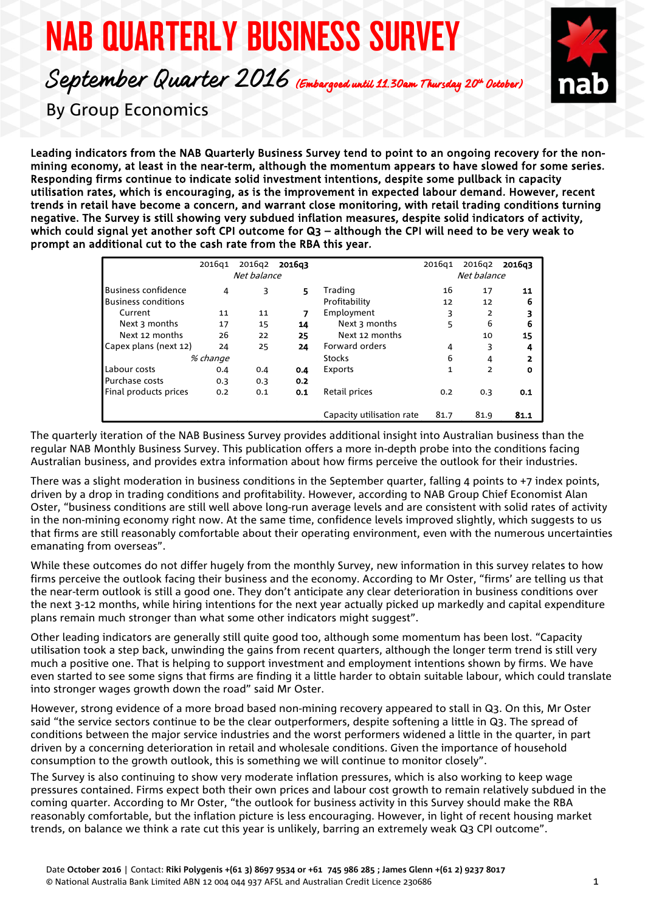# NAB QUARTERLY BUSINESS SURVEY

# September Quarter 2016 (Embargoed until 11.30am Thursday 20<sup>th</sup> October)



By Group Economics

Leading indicators from the NAB Quarterly Business Survey tend to point to an ongoing recovery for the nonmining economy, at least in the near-term, although the momentum appears to have slowed for some series. Responding firms continue to indicate solid investment intentions, despite some pullback in capacity utilisation rates, which is encouraging, as is the improvement in expected labour demand. However, recent trends in retail have become a concern, and warrant close monitoring, with retail trading conditions turning negative. The Survey is still showing very subdued inflation measures, despite solid indicators of activity, which could signal yet another soft CPI outcome for Q3 - although the CPI will need to be very weak to prompt an additional cut to the cash rate from the RBA this year.

|                            | 2016q1 | 2016q2<br>Net balance | <b>2016a3</b> |                           | 2016q1       | 2016g2<br>Net balance | 2016a3 |
|----------------------------|--------|-----------------------|---------------|---------------------------|--------------|-----------------------|--------|
| <b>Business confidence</b> | 4      | 3                     | 5             | Trading                   | 16           | 17                    | 11     |
| <b>Business conditions</b> |        |                       |               | Profitability             | 12           | 12                    | 6      |
| Current                    | 11     | 11                    | 7             | Employment                | 3            | 2                     | 3      |
| Next 3 months              | 17     | 15                    | 14            | Next 3 months             | 5            | 6                     | 6      |
| Next 12 months             | 26     | 22                    | 25            | Next 12 months            |              | 10                    | 15     |
| Capex plans (next 12)      | 24     | 25                    | 24            | Forward orders            | 4            | 3                     | 4      |
| % change                   |        |                       |               | <b>Stocks</b>             | 6            | 4                     | 2      |
| Labour costs               | 0.4    | 0.4                   | 0.4           | Exports                   | $\mathbf{1}$ | $\overline{2}$        | O      |
| Purchase costs             | 0.3    | 0.3                   | 0.2           |                           |              |                       |        |
| Final products prices      | 0.2    | 0.1                   | 0.1           | Retail prices             | 0.2          | 0.3                   | 0.1    |
|                            |        |                       |               | Capacity utilisation rate | 81.7         | 81.9                  | 81.1   |

The quarterly iteration of the NAB Business Survey provides additional insight into Australian business than the regular NAB Monthly Business Survey. This publication offers a more in-depth probe into the conditions facing Australian business, and provides extra information about how firms perceive the outlook for their industries.

There was a slight moderation in business conditions in the September quarter, falling 4 points to +7 index points, driven by a drop in trading conditions and profitability. However, according to NAB Group Chief Economist Alan Oster, "business conditions are still well above long-run average levels and are consistent with solid rates of activity in the non-mining economy right now. At the same time, confidence levels improved slightly, which suggests to us that firms are still reasonably comfortable about their operating environment, even with the numerous uncertainties emanating from overseas".

While these outcomes do not differ hugely from the monthly Survey, new information in this survey relates to how firms perceive the outlook facing their business and the economy. According to Mr Oster, "firms' are telling us that the near-term outlook is still a good one. They don't anticipate any clear deterioration in business conditions over the next 3-12 months, while hiring intentions for the next year actually picked up markedly and capital expenditure plans remain much stronger than what some other indicators might suggest".

Other leading indicators are generally still quite good too, although some momentum has been lost. "Capacity utilisation took a step back, unwinding the gains from recent quarters, although the longer term trend is still very much a positive one. That is helping to support investment and employment intentions shown by firms. We have even started to see some signs that firms are finding it a little harder to obtain suitable labour, which could translate into stronger wages growth down the road" said Mr Oster.

However, strong evidence of a more broad based non-mining recovery appeared to stall in Q3. On this, Mr Oster said "the service sectors continue to be the clear outperformers, despite softening a little in Q3. The spread of conditions between the major service industries and the worst performers widened a little in the quarter, in part driven by a concerning deterioration in retail and wholesale conditions. Given the importance of household consumption to the growth outlook, this is something we will continue to monitor closely".

The Survey is also continuing to show very moderate inflation pressures, which is also working to keep wage pressures contained. Firms expect both their own prices and labour cost growth to remain relatively subdued in the coming quarter. According to Mr Oster, "the outlook for business activity in this Survey should make the RBA reasonably comfortable, but the inflation picture is less encouraging. However, in light of recent housing market trends, on balance we think a rate cut this year is unlikely, barring an extremely weak Q3 CPI outcome".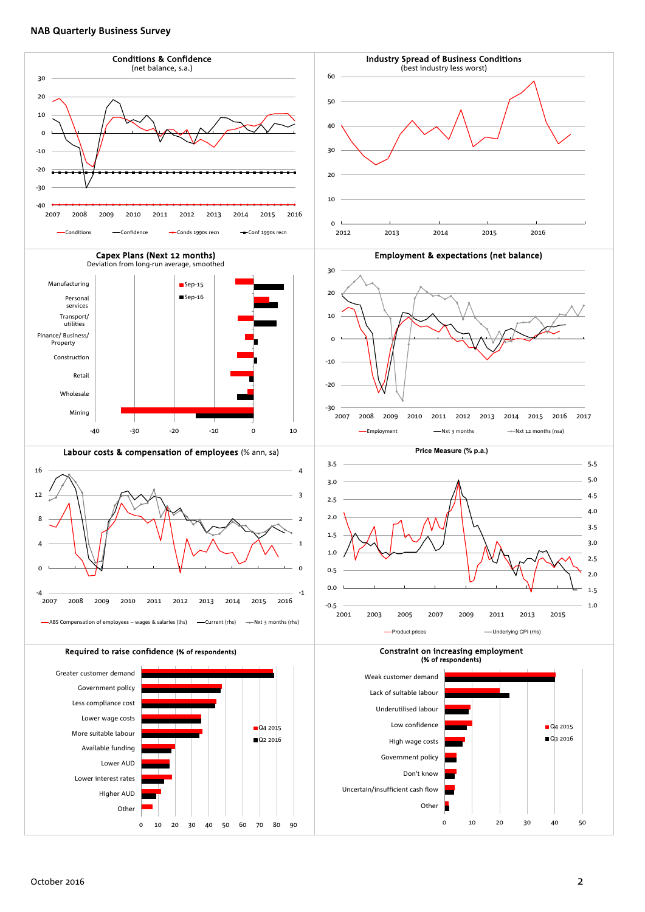#### **NAB Quarterly Business Survey**



-40 -30 -20 -10 0 10 Mining Wholesale Retail Construction Finance/ Business/ Property Transport/ utilities Personal services Manufacturing Deviation from long-run average, smoothed  $Sep-15$  $Sep-16$ 

















# Capex Plans (Next 12 months)